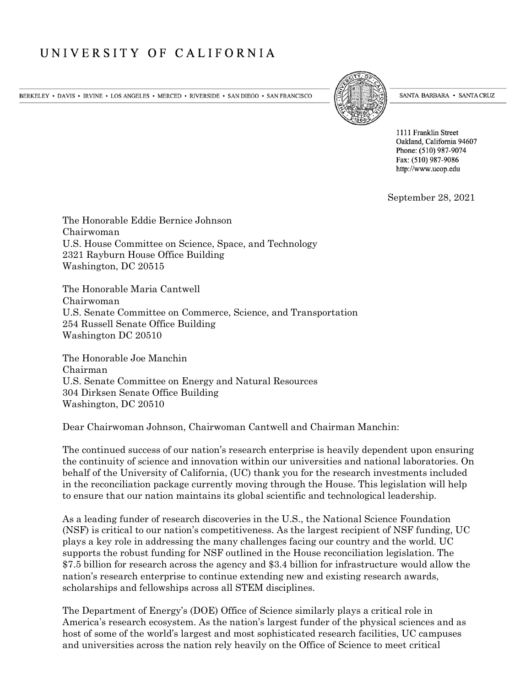## UNIVERSITY OF CALIFORNIA

BERKELEY • DAVIS • IRVINE • LOS ANGELES • MERCED • RIVERSIDE • SAN DIEGO • SAN FRANCISCO



SANTA BARBARA • SANTA CRUZ

1111 Franklin Street Oakland, California 94607 Phone: (510) 987-9074 Fax: (510) 987-9086 http://www.ucop.edu

September 28, 2021

The Honorable Eddie Bernice Johnson Chairwoman U.S. House Committee on Science, Space, and Technology 2321 Rayburn House Office Building Washington, DC 20515

The Honorable Maria Cantwell Chairwoman U.S. Senate Committee on Commerce, Science, and Transportation 254 Russell Senate Office Building Washington DC 20510

The Honorable Joe Manchin Chairman U.S. Senate Committee on Energy and Natural Resources 304 Dirksen Senate Office Building Washington, DC 20510

Dear Chairwoman Johnson, Chairwoman Cantwell and Chairman Manchin:

The continued success of our nation's research enterprise is heavily dependent upon ensuring the continuity of science and innovation within our universities and national laboratories. On behalf of the University of California, (UC) thank you for the research investments included in the reconciliation package currently moving through the House. This legislation will help to ensure that our nation maintains its global scientific and technological leadership.

As a leading funder of research discoveries in the U.S., the National Science Foundation (NSF) is critical to our nation's competitiveness. As the largest recipient of NSF funding, UC plays a key role in addressing the many challenges facing our country and the world. UC supports the robust funding for NSF outlined in the House reconciliation legislation. The \$7.5 billion for research across the agency and \$3.4 billion for infrastructure would allow the nation's research enterprise to continue extending new and existing research awards, scholarships and fellowships across all STEM disciplines.

The Department of Energy's (DOE) Office of Science similarly plays a critical role in America's research ecosystem. As the nation's largest funder of the physical sciences and as host of some of the world's largest and most sophisticated research facilities, UC campuses and universities across the nation rely heavily on the Office of Science to meet critical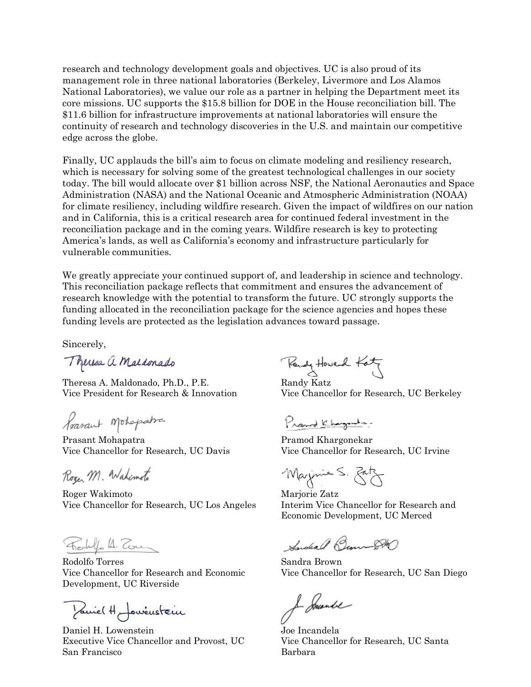research and technology development goals and objectives. UC is also proud of its management role in three national laboratories (Berkeley, Livermore and Los Alamos National Laboratories), we value our role as a partner in helping the Department meet its core missions. UC supports the \$15.8 billion for DOE in the House reconciliation bill. The \$11.6 billion for infrastructure improvements at national laboratories will ensure the continuity of research and technology discoveries in the U.S. and maintain our competitive edge across the globe.

Finally, UC applauds the bill's aim to focus on climate modeling and resiliency research, which is necessary for solving some of the greatest technological challenges in our society today. The bill would allocate over \$1 billion across NSF, the National Aeronautics and Space Administration (NASA) and the National Oceanic and Atmospheric Administration (NOAA) for climate resiliency, including wildfire research. Given the impact of wildfires on our nation and in California, this is a critical research area for continued federal investment in the reconciliation package and in the coming years. Wildfire research is key to protecting America's lands, as well as California's economy and infrastructure particularly for vulnerable communities.

We greatly appreciate your continued support of, and leadership in science and technology. This reconciliation package reflects that commitment and ensures the advancement of research knowledge with the potential to transform the future. UC strongly supports the funding allocated in the reconciliation package for the science agencies and hopes these funding levels are protected as the legislation advances toward passage.

Sincerely,

Theresa a Maldonado

Theresa A. Maldonado, Ph.D., P.E. Randy Katz

Poarant Mohopatra

Prasant Mohapatra Pramod Khargonekar

Roger M. Wahimoto

Roger Wakimoto Marjorie Zatz Vice Chancellor for Research, UC Los Angeles Interim Vice Chancellor for Research and

Forly A. Ton

Rodolfo Torres **Sandra Brown** Development, UC Riverside

You're ( H Jowenstein

Daniel H. Lowenstein Joe Incandela Executive Vice Chancellor and Provost, UC Vice Chancellor for Research, UC Santa San Francisco Barbara

Rendy Howard Katz

Vice President for Research & Innovation Vice Chancellor for Research, UC Berkeley

Pranod Khanganda.

Vice Chancellor for Research, UC Davis Vice Chancellor for Research, UC Irvine

Marjonie S. Batz

Economic Development, UC Merced

Sandeal Beau-DRO

Vice Chancellor for Research and Economic Vice Chancellor for Research, UC San Diego

Je Smande